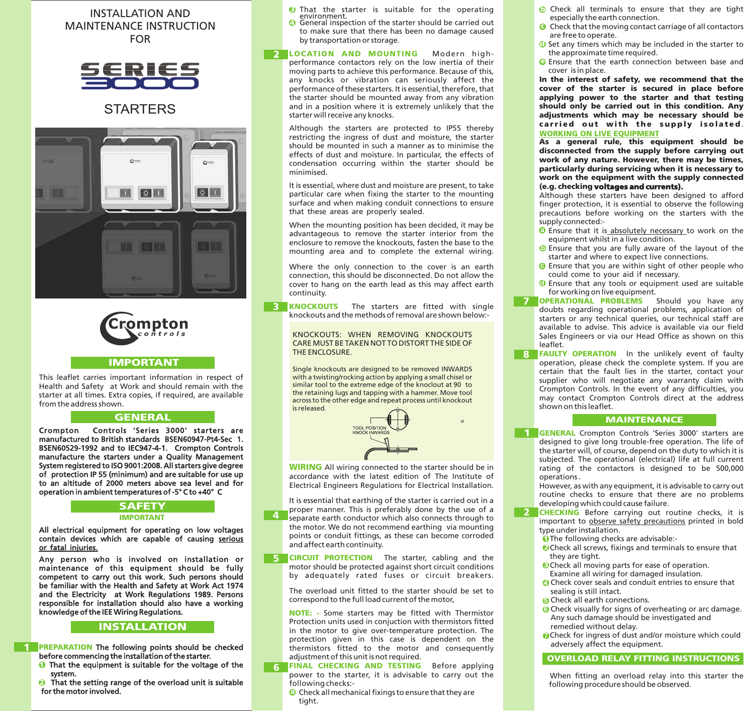## INSTALLATION AND MAINTENANCE INSTRUCTION FOR



# **STARTERS**





### IMPORTANT

This leaflet carries important information in respect of Health and Safety at Work and should remain with the starter at all times. Extra copies, if required, are available from the address shown.

### **GENERAL**

Crompton Controls 'Series 3000' starters are manufactured to British standards BSEN60947-Pt4-Sec 1. BSEN60529-1992 and to IEC947-4-1. Crompton Controls manufacture the starters under a Quality Management System registered to ISO 9001:2008. All starters give degree of protection IP 55 (minimum) and are suitable for use up to an altitude of 2000 meters above sea level and for operation in ambient temperatures of -5° C to +40° C

### **SAFETY** IMPORTANT

All electrical equipment for operating on low voltages contain devices which are capable of causing serious or fatal injuries.

Any person who is involved on installation or maintenance of this equipment should be fully competent to carry out this work. Such persons should be familiar with the Health and Safety at Work Act 1974 and the Electricity at Work Regulations 1989. Persons responsible for installation should also have a working knowledge of the IEE Wiring Regulations.

### INSTALLATION

**The PREPARATION** The following points should be checked before commencing the installation of the starter.

- $\bullet$  That the equipment is suitable for the voltage of the system.
- That the setting range of the overload unit is suitable for the motor involved. . 2
- $\bullet$  That the starter is suitable for the operating environment.
- **4** General inspection of the starter should be carried out to make sure that there has been no damage caused by transportation or storage.
- 2 LOCATION AND MOUNTING Modern highperformance contactors rely on the low inertia of their moving parts to achieve this performance. Because of this, any knocks or vibration can seriously affect the performance of these starters. It is essential, therefore, that the starter should be mounted away from any vibration and in a position where it is extremely unlikely that the starter will receive any knocks.

Although the starters are protected to IP55 thereby restricting the ingress of dust and moisture, the starter should be mounted in such a manner as to minimise the effects of dust and moisture. In particular, the effects of condensation occurring within the starter should be minimised.

It is essential, where dust and moisture are present, to take particular care when fixing the starter to the mounting surface and when making conduit connections to ensure that these areas are properly sealed.

When the mounting position has been decided, it may be advantageous to remove the starter interior from the enclosure to remove the knockouts, fasten the base to the mounting area and to complete the external wiring.

Where the only connection to the cover is an earth connection, this should be disconnected. Do not allow the cover to hang on the earth lead as this may affect earth continuity.

**KNOCKOUTS** The starters are fitted with single knockouts and the methods of removal are shown below:- 3

> KNOCKOUTS: WHEN REMOVING KNOCKOUTS CARE MUST BE TAKEN NOT TO DISTORT THE SIDE OF THE ENCLOSURE.

> Single knockouts are designed to be removed INWARDS with a twisting/rocking action by applying a small chisel or similar tool to the extreme edge of the knoclout at 90 to the retaining lugs and tapping with a hammer. Move tool across to the other edge and repeat process until knockout is released.



o

**WIRING** All wiring connected to the starter should be in accordance with the latest edition of The Institute of Electrical Engineers Regulations for Electrical Installation.

It is essential that earthing of the starter is carried out in a proper manner. This is preferably done by the use of a

- separate earth conductor which also connects through to the motor. We do not recommend earthing via mounting points or conduit fittings, as these can become corroded and affect earth continuity.  $\mathbf{A}$
- 5 CIRCUIT PROTECTION The starter, cabling and the motor should be protected against short circuit conditions by adequately rated fuses or circuit breakers.

The overload unit fitted to the starter should be set to correspond to the full load current of the motor,

**NOTE:** - Some starters may be fitted with Thermistor Protection units used in conjuction with thermistors fitted in the motor to give over-temperature protection. The protection given in this case is dependent on the thermistors fitted to the motor and consequently adjustment of this unit is not required.

- **6 FINAL CHECKING AND TESTING** Before applying power to the starter, it is advisable to carry out the following checks:
	- **a** Check all mechanical fixings to ensure that they are tight.
- **b** Check all terminals to ensure that they are tight especially the earth connection.
- **G** Check that the moving contact carriage of all contactors are free to operate.
- $\bullet$  Set any timers which may be included in the starter to the approximate time required.
- **Ensure that the earth connection between base and** cover is in place.

In the interest of safety, we recommend that the cover of the starter is secured in place before applying power to the starter and that testing should only be carried out in this condition. Any adjustments which may be necessary should be carried out with the supply isolated. WORKING ON LIVE EQUIPMENT

As a general rule, this equipment should be disconnected from the supply before carrying out work of any nature. However, there may be times, particularly during servicing when it is necessary to work on the equipment with the supply connected (e.g. checking voltages and currents).

Although these starters have been designed to afford finger protection, it is essential to observe the following precautions before working on the starters with the supply connected:-

- **a** Ensure that it is absolutely necessary to work on the equipment whilst in a live condition.
- Ensure that you are fully aware of the layout of the **b** starter and where to expect live connections.
- Ensure that you are within sight of other people who **c** could come to your aid if necessary.
- Ensure that any tools or equipment used are suitable **d** for working on live equipment.
- 7 OPERATIONAL PROBLEMS Should you have any doubts regarding operational problems, application of starters or any technical queries, our technical staff are available to advise. This advice is available via our field Sales Engineers or via our Head Office as shown on this leaflet.
- In the unlikely event of faulty operation, please check the complete system. If you are certain that the fault lies in the starter, contact your supplier who will negotiate any warranty claim with Crompton Controls. In the event of any difficulties, you may contact Crompton Controls direct at the address shown on this leaflet. 8 **FAULTY OPERATION**

### MAINTENANCE

1 GENERAL Crompton Controls 'Series 3000' starters are designed to give long trouble-free operation. The life of the starter will, of course, depend on the duty to which it is subjected. The operational (electrical) life at full current rating of the contactors is designed to be 500,000 operations .

However, as with any equipment, it is advisable to carry out routine checks to ensure that there are no problems developing which could cause failure.

- **CHECKING** Before carrying out routine checks, it is important to observe safety precautions printed in bold type under installation. 2
	- **O**The following checks are advisable:-
	- **O** Check all screws, fixings and terminals to ensure that they are tight.
	- **Check all moving parts for ease of operation.** Examine all wiring for damaged insulation.
	- **4** Check cover seals and conduit entries to ensure that sealing is still intact.
	- **5** Check all earth connections.
	- **G** Check visually for signs of overheating or arc damage. Any such damage should be investigated and remedied without delay.
	- *O* Check for ingress of dust and/or moisture which could adversely affect the equipment.

## OVERLOAD RELAY FITTING INSTRUCTIONS

When fitting an overload relay into this starter the following procedure should be observed.